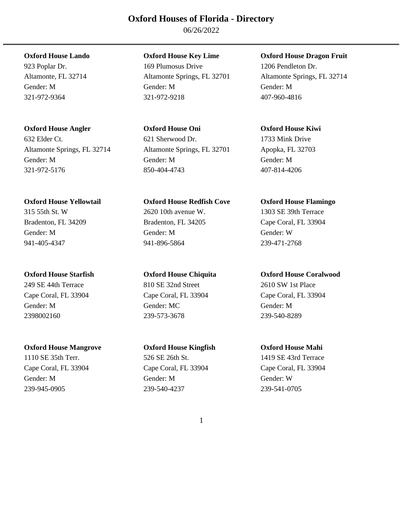06/26/2022

632 Elder Ct. 621 Sherwood Dr. 1733 Mink Drive Altamonte Springs, FL 32714 Altamonte Springs, FL 32701 Apopka, FL 32703 Gender: M Gender: M Gender: M 321-972-5176 850-404-4743 407-814-4206

**Oxford House Mangrove Oxford House Kingfish Oxford House Mahi**  1110 SE 35th Terr. 526 SE 26th St. 1419 SE 43rd Terrace Cape Coral, FL 33904 Cape Coral, FL 33904 Cape Coral, FL 33904 Gender: M Gender: M Gender: W

**Oxford House Lando Oxford House Key Lime Oxford House Dragon Fruit**  923 Poplar Dr. 169 Plumosus Drive 1206 Pendleton Dr. Altamonte, FL 32714 Altamonte Springs, FL 32701 Altamonte Springs, FL 32714 Gender: M Gender: M Gender: M 321-972-9364 321-972-9218 407-960-4816

**Oxford House Angler Oxford House Oni Oxford House Kiwi** 

**Oxford House Yellowtail Oxford House Redfish Cove Oxford House Flamingo**  315 55th St. W 2620 10th avenue W. 1303 SE 39th Terrace Bradenton, FL 34209 Bradenton, FL 34205 Cape Coral, FL 33904 Gender: M Gender: M Gender: W 941-405-4347 941-896-5864 239-471-2768

249 SE 44th Terrace 810 SE 32nd Street 2610 SW 1st Place Cape Coral, FL 33904 Cape Coral, FL 33904 Cape Coral, FL 33904 Gender: M Gender: MC Gender: M 2398002160 239-573-3678 239-540-8289

239-945-0905 239-540-4237 239-541-0705

**Oxford House Starfish Oxford House Chiquita Oxford House Coralwood**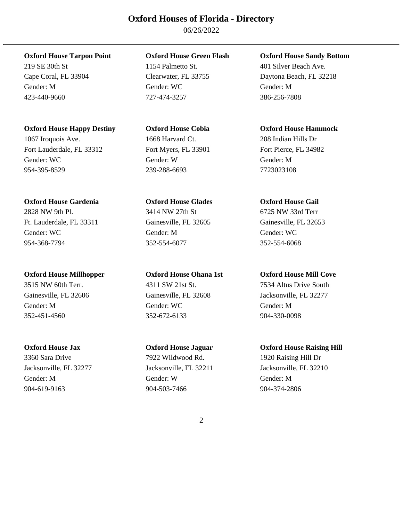06/26/2022

219 SE 30th St 1154 Palmetto St. 401 Silver Beach Ave.

### **Oxford House Happy Destiny Oxford House Cobia Oxford House Hammock**

1067 Iroquois Ave. 1668 Harvard Ct. 208 Indian Hills Dr Fort Lauderdale, FL 33312 Fort Myers, FL 33901 Fort Pierce, FL 34982 Gender: WC Gender: W Gender: M 954-395-8529 239-288-6693 7723023108

### **Oxford House Gardenia Oxford House Glades Oxford House Gail**

Ft. Lauderdale, FL 33311 Gainesville, FL 32605 Gainesville, FL 32653 Gender: WC Gender: M Gender: M Gender: WC 954-368-7794 352-554-6077 352-554-6068

### **Oxford House Millhopper Oxford House Ohana 1st Oxford House Mill Cove**

Gender: M Gender: WC Gender: M 352-451-4560 352-672-6133 904-330-0098

3360 Sara Drive 7922 Wildwood Rd. 1920 Raising Hill Dr Gender: M Gender: W Gender: M 904-619-9163 904-503-7466 904-374-2806

### **Oxford House Tarpon Point Oxford House Green Flash Oxford House Sandy Bottom**

Gender: M Gender: WC Gender: M 423-440-9660 727-474-3257 386-256-7808

2828 NW 9th Pl. 3414 NW 27th St 6725 NW 33rd Terr

3515 NW 60th Terr. 4311 SW 21st St. 7534 Altus Drive South

Cape Coral, FL 33904 Clearwater, FL 33755 Daytona Beach, FL 32218

Gainesville, FL 32606 Gainesville, FL 32608 Jacksonville, FL 32277

### **Oxford House Jax Oxford House Jaguar Oxford House Raising Hill**

Jacksonville, FL 32277 Jacksonville, FL 32211 Jacksonville, FL 32210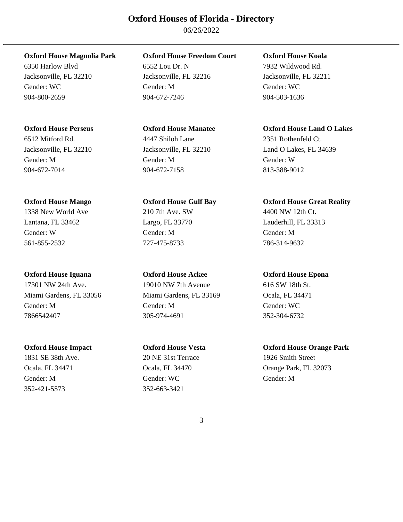06/26/2022

904-672-7014 904-672-7158 813-388-9012

17301 NW 24th Ave. 19010 NW 7th Avenue 616 SW 18th St. Miami Gardens, FL 33056 Miami Gardens, FL 33169 Ocala, FL 34471 Gender: M Gender: M Gender: WC 7866542407 305-974-4691 352-304-6732

352-421-5573 352-663-3421

### **Oxford House Magnolia Park Oxford House Freedom Court Oxford House Koala**

6350 Harlow Blvd 6552 Lou Dr. N 7932 Wildwood Rd. Jacksonville, FL 32210 Jacksonville, FL 32216 Jacksonville, FL 32211 Gender: WC Gender: M Gender: M Gender: WC Gender: WC Gender: WC 904-800-2659 904-672-7246 904-503-1636

# 6512 Mitford Rd. 4447 Shiloh Lane 2351 Rothenfeld Ct. Gender: M Gender: M Gender: W

1338 New World Ave 210 7th Ave. SW 4400 NW 12th Ct. Lantana, FL 33462 Largo, FL 33770 Lauderhill, FL 33313 Gender: W Gender: M Gender: M 561-855-2532 727-475-8733 786-314-9632

**Oxford House Iguana Oxford House Ackee Oxford House Epona** 

1831 SE 38th Ave. 20 NE 31st Terrace 1926 Smith Street Gender: M Gender: WC Gender: M Gender: M Gender: M Gender: M Gender: M Gender: M Gender: M Gender: M Gender: M Gender: M Gender: M Gender: M Gender: M Gender: M Gender: M Gender: M Gender: M Gender: M Gender: M Gender: M G

### **Oxford House Perseus Oxford House Manatee Oxford House Land O Lakes**

Jacksonville, FL 32210 Jacksonville, FL 32210 Land O Lakes, FL 34639

### **Oxford House Mango Oxford House Gulf Bay Oxford House Great Reality**

### **Oxford House Impact Oxford House Vesta Oxford House Orange Park**

Ocala, FL 34471 Ocala, FL 34470 Orange Park, FL 32073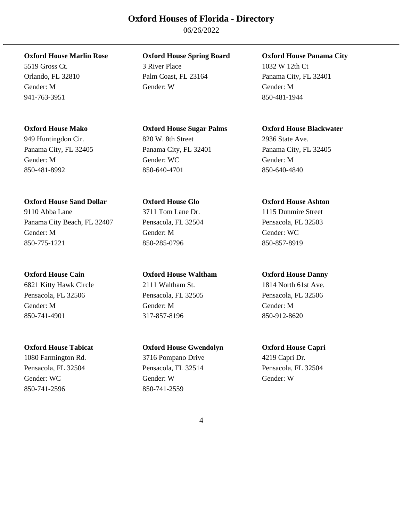06/26/2022

941-763-3951 850-481-1944

### **Oxford House Sand Dollar Oxford House Glo Oxford House Ashton**

9110 Abba Lane 3711 Tom Lane Dr. 1115 Dunmire Street Panama City Beach, FL 32407 Pensacola, FL 32504 Pensacola, FL 32503 Gender: M Gender: M Gender: WC 850-775-1221 850-285-0796 850-857-8919

6821 Kitty Hawk Circle 2111 Waltham St. 1814 North 61st Ave. Pensacola, FL 32506 Pensacola, FL 32505 Pensacola, FL 32506 Gender: M Gender: M Gender: M 850-741-4901 317-857-8196 850-912-8620

850-741-2596 850-741-2559

# **Oxford House Marlin Rose Oxford House Spring Board Oxford House Panama City**

5519 Gross Ct. 3 River Place 1032 W 12th Ct Orlando, FL 32810 Palm Coast, FL 23164 Panama City, FL 32401 Gender: M Gender: W Gender: M

949 Huntingdon Cir. 820 W. 8th Street 2936 State Ave. Panama City, FL 32405 Panama City, FL 32401 Panama City, FL 32405 Gender: M Gender: WC Gender: M Gender: M Gender: M Gender: M Gender: M Gender: M Gender: M Gender: M Gender: M Gender: M Gender: M Gender: M Gender: M Gender: M Gender: M Gender: M Gender: M Gender: M Gender: M Gender: M G 850-481-8992 850-640-4701 850-640-4840

### **Oxford House Cain Oxford House Waltham Oxford House Danny**

# **Oxford House Tabicat Oxford House Gwendolyn Oxford House Capri**

1080 Farmington Rd. 3716 Pompano Drive 4219 Capri Dr. Pensacola, FL 32504 Pensacola, FL 32514 Pensacola, FL 32504 Gender: WC Gender: W Gender: W Gender: W Gender: W

### **Oxford House Mako Oxford House Sugar Palms Oxford House Blackwater**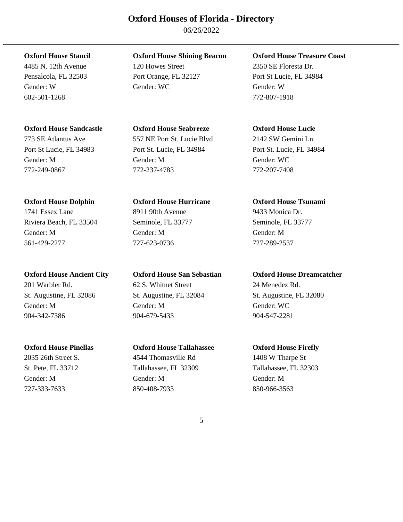06/26/2022

602-501-1268 772-807-1918

### **Oxford House Sandcastle Oxford House Seabreeze Oxford House Lucie**

773 SE Atlantus Ave 557 NE Port St. Lucie Blvd 2142 SW Gemini Ln

1741 Essex Lane 8911 90th Avenue 9433 Monica Dr. Riviera Beach, FL 33504 Seminole, FL 33777 Seminole, FL 33777 Gender: M Gender: M Gender: M 561-429-2277 727-623-0736 727-289-2537

201 Warbler Rd. 62 S. Whitnet Street 24 Menedez Rd. Gender: M Gender: M Gender: WC 904-342-7386 904-679-5433 904-547-2281

### **Oxford House Stancil Oxford House Shining Beacon Oxford House Treasure Coast**

4485 N. 12th Avenue 120 Howes Street 2350 SE Floresta Dr. Pensalcola, FL 32503 Port Orange, FL 32127 Port St Lucie, FL 34984 Gender: W Gender: WC Gender: W

Port St Lucie, FL 34983 Port St. Lucie, FL 34984 Port St. Lucie, FL 34984 Gender: M Gender: M Gender: WC 772-249-0867 772-237-4783 772-207-7408

### **Oxford House Dolphin Oxford House Hurricane Oxford House Tsunami**

# **Oxford House Pinellas Oxford House Tallahassee Oxford House Firefly**

2035 26th Street S. 4544 Thomasville Rd 1408 W Tharpe St St. Pete, FL 33712 Tallahassee, FL 32309 Tallahassee, FL 32303 Gender: M Gender: M Gender: M 727-333-7633 850-408-7933 850-966-3563

### **Oxford House Ancient City Oxford House San Sebastian Oxford House Dreamcatcher**

St. Augustine, FL 32086 St. Augustine, FL 32084 St. Augustine, FL 32080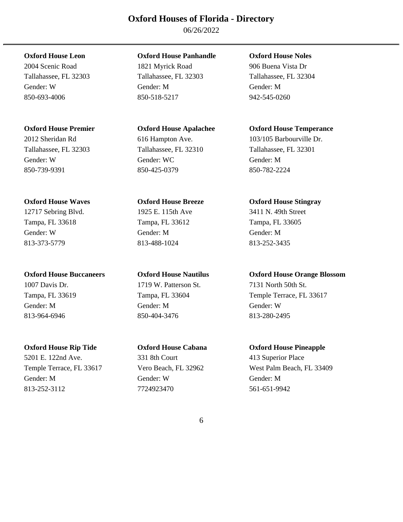06/26/2022

Tallahassee, FL 32303 Tallahassee, FL 32310 Tallahassee, FL 32301 Gender: W Gender: WC Gender: M 850-739-9391 850-425-0379 850-782-2224

### **Oxford House Waves Oxford House Breeze Oxford House Stingray**

12717 Sebring Blvd. 1925 E. 115th Ave 3411 N. 49th Street Tampa, FL 33618 Tampa, FL 33612 Tampa, FL 33605 Gender: W Gender: M Gender: M 813-373-5779 813-488-1024 813-252-3435

5201 E. 122nd Ave. 331 8th Court 413 Superior Place Gender: M Gender: W Gender: M 813-252-3112 7724923470 561-651-9942

### **Oxford House Leon Oxford House Panhandle Oxford House Noles**

2004 Scenic Road 1821 Myrick Road 906 Buena Vista Dr Tallahassee, FL 32303 Tallahassee, FL 32303 Tallahassee, FL 32304 Gender: W Gender: M Gender: M 850-693-4006 850-518-5217 942-545-0260

1007 Davis Dr. 1719 W. Patterson St. 7131 North 50th St. Gender: M Gender: M Gender: W 813-964-6946 850-404-3476 813-280-2495

### **Oxford House Premier Oxford House Apalachee Oxford House Temperance**

2012 Sheridan Rd 616 Hampton Ave. 103/105 Barbourville Dr.

### **Oxford House Buccaneers Oxford House Nautilus Oxford House Orange Blossom**

Tampa, FL 33619 Tampa, FL 33604 Temple Terrace, FL 33617

### **Oxford House Rip Tide Oxford House Cabana Oxford House Pineapple**

Temple Terrace, FL 33617 Vero Beach, FL 32962 West Palm Beach, FL 33409